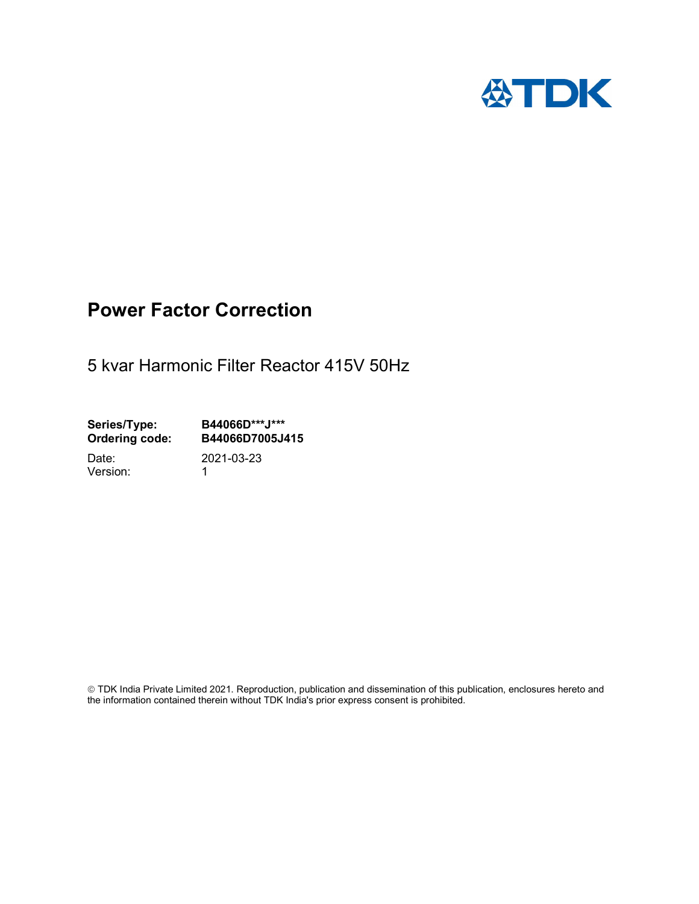

## Power Factor Correction

5 kvar Harmonic Filter Reactor 415V 50Hz

Series/Type: B44066D\*\*\*J\*\*\*<br>Ordering code: B44066D7005J4 B44066D7005J415

Version: 1

Date: 2021-03-23

 TDK India Private Limited 2021. Reproduction, publication and dissemination of this publication, enclosures hereto and the information contained therein without TDK India's prior express consent is prohibited.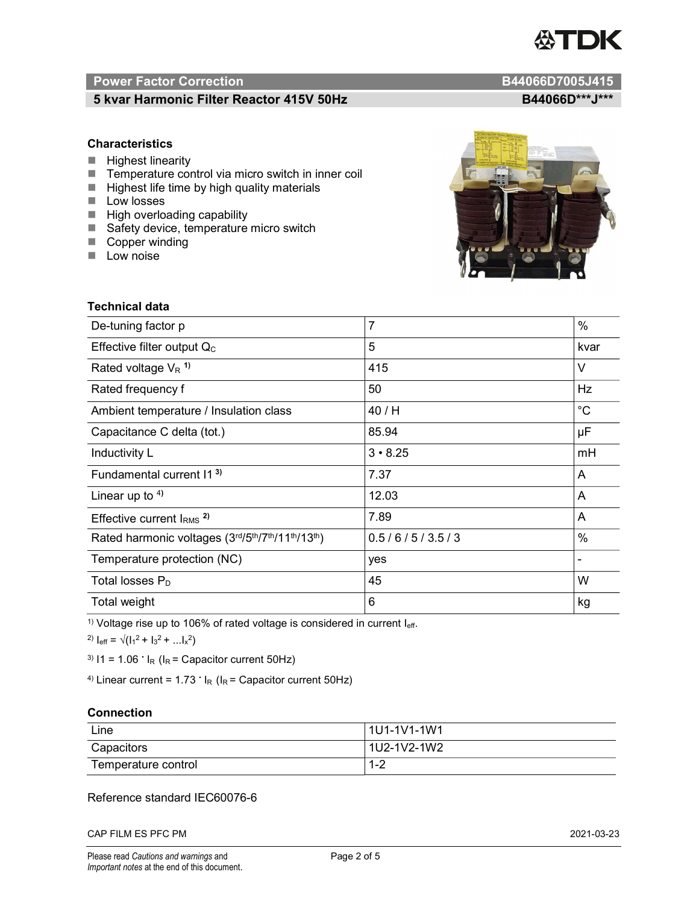# TDK

### Power Factor Correction and Content of Content of Content of Content of Content of Content of Content of Content of Content of Content of Content of Content of Content of Content of Content of Content of Content of Content

#### 5 kvar Harmonic Filter Reactor 415V 50Hz B44066D\*\*\*J\*\*\*

#### **Characteristics**

- $\blacksquare$  Highest linearity
- Temperature control via micro switch in inner coil
- $\blacksquare$  Highest life time by high quality materials
- **Low** losses
- $\blacksquare$  High overloading capability
- Safety device, temperature micro switch
- Copper winding
- **Low noise**



| <b>Technical data</b>                           |                |             |
|-------------------------------------------------|----------------|-------------|
| De-tuning factor p                              | $\overline{7}$ | $\%$        |
| Effective filter output $Q_C$                   | 5              | kvar        |
| Rated voltage $V_R$ <sup>1)</sup>               | 415            | V           |
| Rated frequency f                               | 50             | Hz          |
| Ambient temperature / Insulation class          | 40 / H         | $^{\circ}C$ |
| Capacitance C delta (tot.)                      | 85.94          | μF          |
| Inductivity L                                   | $3 \cdot 8.25$ | mH          |
| Fundamental current 11 <sup>3)</sup>            | 7.37           | A           |
| Linear up to $4$ )                              | 12.03          | A           |
| Effective current $IRMS$ <sup>2)</sup>          | 7.89           | A           |
| Rated harmonic voltages (3rd/5th/7th/11th/13th) | 0.5/6/5/3.5/3  | %           |
| Temperature protection (NC)                     | yes            |             |
| Total losses $P_D$                              | 45             | W           |
| Total weight                                    | 6              | kg          |

<sup>1)</sup> Voltage rise up to 106% of rated voltage is considered in current  $I_{\text{eff}}$ .

<sup>2)</sup>  $I_{eff} = \sqrt{(I_1^2 + I_3^2 + ... I_x^2)}$ 

<sup>3)</sup>  $11 = 1.06$   $\cdot$   $I_R$  ( $I_R$  = Capacitor current 50Hz)

<sup>4)</sup> Linear current =  $1.73$   $\cdot$  I<sub>R</sub> (I<sub>R</sub> = Capacitor current 50Hz)

#### **Connection**

| Line                | l 1U1-1V1-1W1 |
|---------------------|---------------|
| Capacitors          | l 1U2-1V2-1W2 |
| Temperature control | 1 O<br>ے- ا   |

#### Reference standard IEC60076-6

CAP FILM ES PFC PM 2021-03-23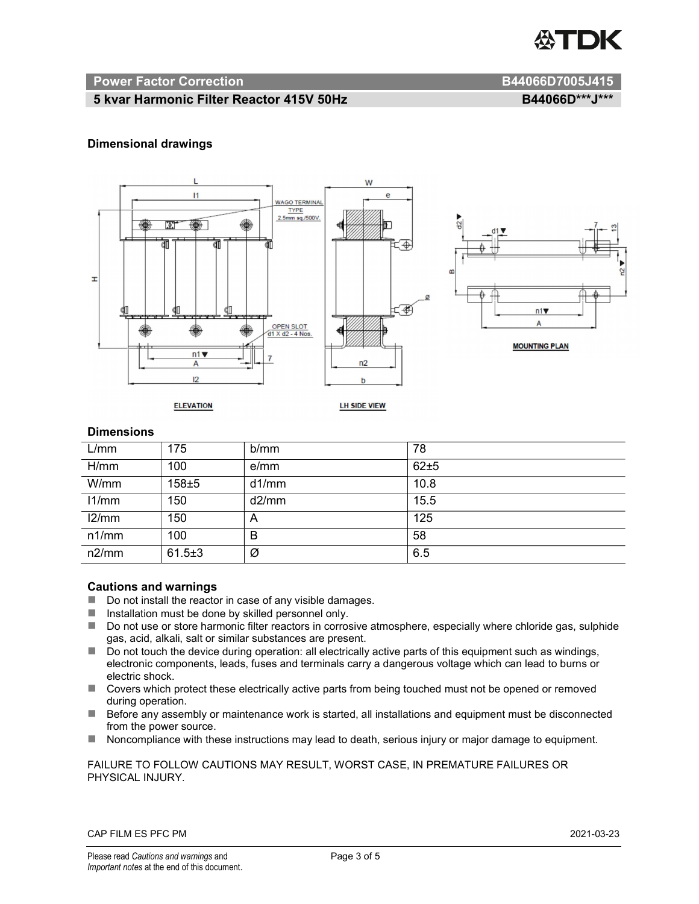

#### Power Factor Correction and B44066D7005J415

#### 5 kvar Harmonic Filter Reactor 415V 50Hz BA4066D\*\*\*J\*\*\* B44066D\*\*\*J\*\*\*

#### Dimensional drawings



**ELEVATION** 

**LH SIDE VIEW** 

#### **Dimensions**

| L/mm  | 175          | b/mm  | 78   |
|-------|--------------|-------|------|
| H/mm  | 100          | e/mm  | 62±5 |
| W/mm  | $158 + 5$    | d1/mm | 10.8 |
| 11/mm | 150          | d2/mm | 15.5 |
| 12/mm | 150          | A     | 125  |
| n1/mm | 100          | B     | 58   |
| n2/mm | $61.5 \pm 3$ | Ø     | 6.5  |

#### Cautions and warnings

- Do not install the reactor in case of any visible damages.
- $\blacksquare$  Installation must be done by skilled personnel only.
- Do not use or store harmonic filter reactors in corrosive atmosphere, especially where chloride gas, sulphide gas, acid, alkali, salt or similar substances are present.
- $\Box$  Do not touch the device during operation: all electrically active parts of this equipment such as windings, electronic components, leads, fuses and terminals carry a dangerous voltage which can lead to burns or electric shock.
- Covers which protect these electrically active parts from being touched must not be opened or removed during operation.
- Before any assembly or maintenance work is started, all installations and equipment must be disconnected from the power source.
- Noncompliance with these instructions may lead to death, serious injury or major damage to equipment.

#### FAILURE TO FOLLOW CAUTIONS MAY RESULT, WORST CASE, IN PREMATURE FAILURES OR PHYSICAL INJURY.

#### CAP FILM ES PFC PM 2021-03-23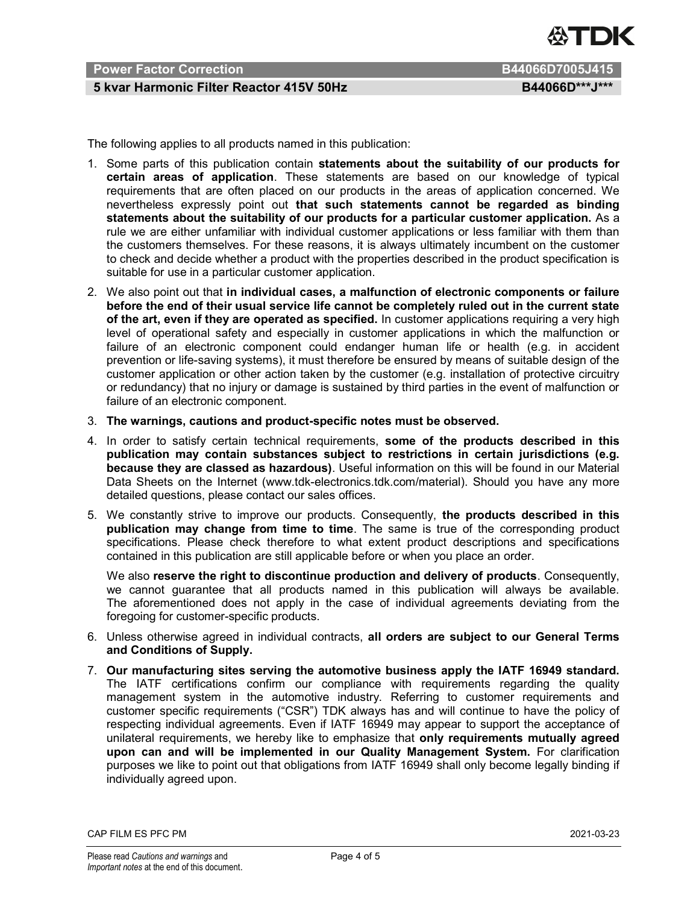

#### Power Factor Correction B44066D7005J415

#### 5 kvar Harmonic Filter Reactor 415V 50Hz BA4066D\*\*\*J\*\*\*

The following applies to all products named in this publication:

- 1. Some parts of this publication contain statements about the suitability of our products for certain areas of application. These statements are based on our knowledge of typical requirements that are often placed on our products in the areas of application concerned. We nevertheless expressly point out that such statements cannot be regarded as binding statements about the suitability of our products for a particular customer application. As a rule we are either unfamiliar with individual customer applications or less familiar with them than the customers themselves. For these reasons, it is always ultimately incumbent on the customer to check and decide whether a product with the properties described in the product specification is suitable for use in a particular customer application.
- 2. We also point out that in individual cases, a malfunction of electronic components or failure before the end of their usual service life cannot be completely ruled out in the current state of the art, even if they are operated as specified. In customer applications requiring a very high level of operational safety and especially in customer applications in which the malfunction or failure of an electronic component could endanger human life or health (e.g. in accident prevention or life-saving systems), it must therefore be ensured by means of suitable design of the customer application or other action taken by the customer (e.g. installation of protective circuitry or redundancy) that no injury or damage is sustained by third parties in the event of malfunction or failure of an electronic component.
- 3. The warnings, cautions and product-specific notes must be observed.
- 4. In order to satisfy certain technical requirements, some of the products described in this publication may contain substances subject to restrictions in certain jurisdictions (e.g. because they are classed as hazardous). Useful information on this will be found in our Material Data Sheets on the Internet (www.tdk-electronics.tdk.com/material). Should you have any more detailed questions, please contact our sales offices.
- 5. We constantly strive to improve our products. Consequently, the products described in this publication may change from time to time. The same is true of the corresponding product specifications. Please check therefore to what extent product descriptions and specifications contained in this publication are still applicable before or when you place an order.

We also reserve the right to discontinue production and delivery of products. Consequently, we cannot guarantee that all products named in this publication will always be available. The aforementioned does not apply in the case of individual agreements deviating from the foregoing for customer-specific products.

- 6. Unless otherwise agreed in individual contracts, all orders are subject to our General Terms and Conditions of Supply.
- 7. Our manufacturing sites serving the automotive business apply the IATF 16949 standard. The IATF certifications confirm our compliance with requirements regarding the quality management system in the automotive industry. Referring to customer requirements and customer specific requirements ("CSR") TDK always has and will continue to have the policy of respecting individual agreements. Even if IATF 16949 may appear to support the acceptance of unilateral requirements, we hereby like to emphasize that only requirements mutually agreed upon can and will be implemented in our Quality Management System. For clarification purposes we like to point out that obligations from IATF 16949 shall only become legally binding if individually agreed upon.